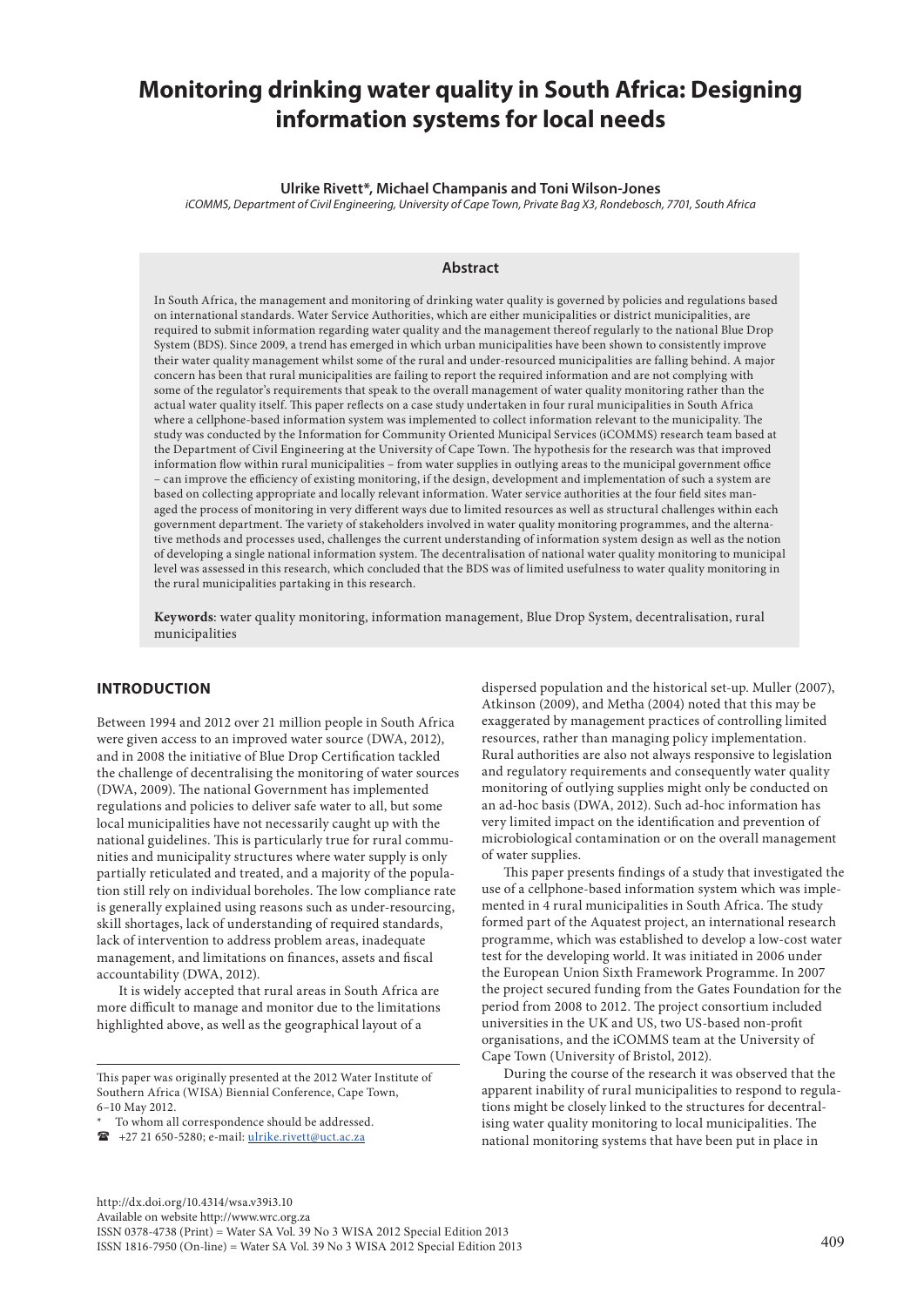# **Monitoring drinking water quality in South Africa: Designing information systems for local needs**

#### **Ulrike Rivett\*, Michael Champanis and Toni Wilson-Jones**

*iCOMMS, Department of Civil Engineering, University of Cape Town, Private Bag X3, Rondebosch, 7701, South Africa*

## **Abstract**

In South Africa, the management and monitoring of drinking water quality is governed by policies and regulations based on international standards. Water Service Authorities, which are either municipalities or district municipalities, are required to submit information regarding water quality and the management thereof regularly to the national Blue Drop System (BDS). Since 2009, a trend has emerged in which urban municipalities have been shown to consistently improve their water quality management whilst some of the rural and under-resourced municipalities are falling behind. A major concern has been that rural municipalities are failing to report the required information and are not complying with some of the regulator's requirements that speak to the overall management of water quality monitoring rather than the actual water quality itself. This paper reflects on a case study undertaken in four rural municipalities in South Africa where a cellphone-based information system was implemented to collect information relevant to the municipality. The study was conducted by the Information for Community Oriented Municipal Services (iCOMMS) research team based at the Department of Civil Engineering at the University of Cape Town. The hypothesis for the research was that improved information flow within rural municipalities – from water supplies in outlying areas to the municipal government office – can improve the efficiency of existing monitoring, if the design, development and implementation of such a system are based on collecting appropriate and locally relevant information. Water service authorities at the four field sites managed the process of monitoring in very different ways due to limited resources as well as structural challenges within each government department. The variety of stakeholders involved in water quality monitoring programmes, and the alternative methods and processes used, challenges the current understanding of information system design as well as the notion of developing a single national information system. The decentralisation of national water quality monitoring to municipal level was assessed in this research, which concluded that the BDS was of limited usefulness to water quality monitoring in the rural municipalities partaking in this research.

**Keywords**: water quality monitoring, information management, Blue Drop System, decentralisation, rural municipalities

## **INTRODUCTION**

Between 1994 and 2012 over 21 million people in South Africa were given access to an improved water source (DWA, 2012), and in 2008 the initiative of Blue Drop Certification tackled the challenge of decentralising the monitoring of water sources (DWA, 2009). The national Government has implemented regulations and policies to deliver safe water to all, but some local municipalities have not necessarily caught up with the national guidelines. This is particularly true for rural communities and municipality structures where water supply is only partially reticulated and treated, and a majority of the population still rely on individual boreholes. The low compliance rate is generally explained using reasons such as under-resourcing, skill shortages, lack of understanding of required standards, lack of intervention to address problem areas, inadequate management, and limitations on finances, assets and fiscal accountability (DWA, 2012).

It is widely accepted that rural areas in South Africa are more difficult to manage and monitor due to the limitations highlighted above, as well as the geographical layout of a

dispersed population and the historical set-up. Muller (2007), Atkinson (2009), and Metha (2004) noted that this may be exaggerated by management practices of controlling limited resources, rather than managing policy implementation. Rural authorities are also not always responsive to legislation and regulatory requirements and consequently water quality monitoring of outlying supplies might only be conducted on an ad-hoc basis (DWA, 2012). Such ad-hoc information has very limited impact on the identification and prevention of microbiological contamination or on the overall management of water supplies.

This paper presents findings of a study that investigated the use of a cellphone-based information system which was implemented in 4 rural municipalities in South Africa. The study formed part of the Aquatest project, an international research programme, which was established to develop a low-cost water test for the developing world. It was initiated in 2006 under the European Union Sixth Framework Programme. In 2007 the project secured funding from the Gates Foundation for the period from 2008 to 2012. The project consortium included universities in the UK and US, two US-based non-profit organisations, and the iCOMMS team at the University of Cape Town (University of Bristol, 2012).

During the course of the research it was observed that the apparent inability of rural municipalities to respond to regulations might be closely linked to the structures for decentralising water quality monitoring to local municipalities. The national monitoring systems that have been put in place in

This paper was originally presented at the 2012 Water Institute of Southern Africa (WISA) Biennial Conference, Cape Town, 6–10 May 2012.

To whom all correspondence should be addressed.

 $\mathbf{F}$  +27 21 650-5280; e-mail: [ulrike.rivett@uct.ac.za](mailto:ulrike.rivett@uct.ac.za)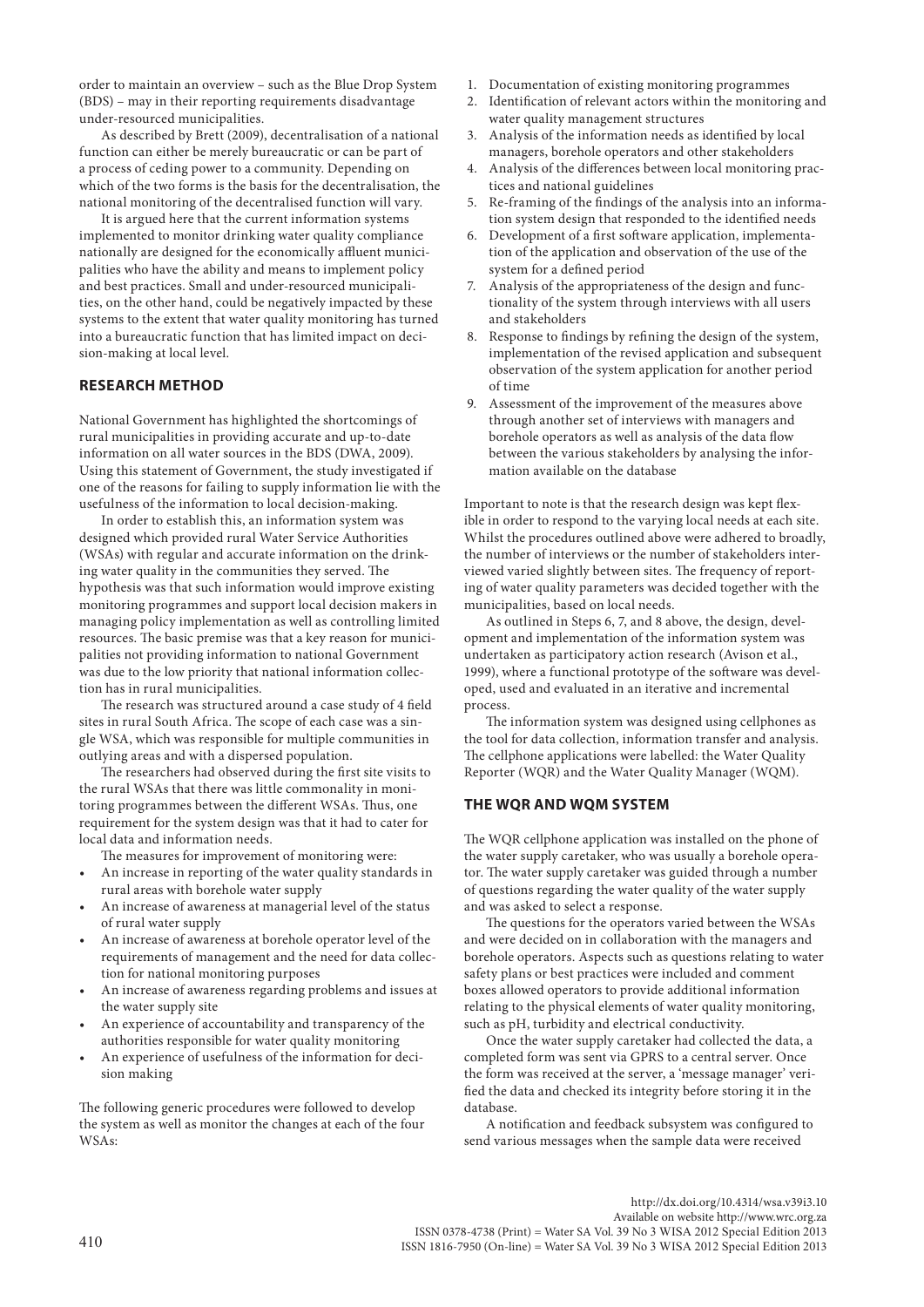order to maintain an overview – such as the Blue Drop System (BDS) – may in their reporting requirements disadvantage under-resourced municipalities.

As described by Brett (2009), decentralisation of a national function can either be merely bureaucratic or can be part of a process of ceding power to a community. Depending on which of the two forms is the basis for the decentralisation, the national monitoring of the decentralised function will vary.

It is argued here that the current information systems implemented to monitor drinking water quality compliance nationally are designed for the economically affluent municipalities who have the ability and means to implement policy and best practices. Small and under-resourced municipalities, on the other hand, could be negatively impacted by these systems to the extent that water quality monitoring has turned into a bureaucratic function that has limited impact on decision-making at local level.

## **RESEARCH METHOD**

National Government has highlighted the shortcomings of rural municipalities in providing accurate and up-to-date information on all water sources in the BDS (DWA, 2009). Using this statement of Government, the study investigated if one of the reasons for failing to supply information lie with the usefulness of the information to local decision-making.

In order to establish this, an information system was designed which provided rural Water Service Authorities (WSAs) with regular and accurate information on the drinking water quality in the communities they served. The hypothesis was that such information would improve existing monitoring programmes and support local decision makers in managing policy implementation as well as controlling limited resources. The basic premise was that a key reason for municipalities not providing information to national Government was due to the low priority that national information collection has in rural municipalities.

The research was structured around a case study of 4 field sites in rural South Africa. The scope of each case was a single WSA, which was responsible for multiple communities in outlying areas and with a dispersed population.

The researchers had observed during the first site visits to the rural WSAs that there was little commonality in monitoring programmes between the different WSAs. Thus, one requirement for the system design was that it had to cater for local data and information needs.

The measures for improvement of monitoring were:

- An increase in reporting of the water quality standards in rural areas with borehole water supply
- An increase of awareness at managerial level of the status of rural water supply
- An increase of awareness at borehole operator level of the requirements of management and the need for data collection for national monitoring purposes
- An increase of awareness regarding problems and issues at the water supply site
- An experience of accountability and transparency of the authorities responsible for water quality monitoring
- An experience of usefulness of the information for decision making

The following generic procedures were followed to develop the system as well as monitor the changes at each of the four WSAs:

- 1. Documentation of existing monitoring programmes
- 2. Identification of relevant actors within the monitoring and water quality management structures
- 3. Analysis of the information needs as identified by local managers, borehole operators and other stakeholders
- 4. Analysis of the differences between local monitoring practices and national guidelines
- 5. Re-framing of the findings of the analysis into an information system design that responded to the identified needs
- Development of a first software application, implementation of the application and observation of the use of the system for a defined period
- Analysis of the appropriateness of the design and functionality of the system through interviews with all users and stakeholders
- 8. Response to findings by refining the design of the system, implementation of the revised application and subsequent observation of the system application for another period of time
- 9. Assessment of the improvement of the measures above through another set of interviews with managers and borehole operators as well as analysis of the data flow between the various stakeholders by analysing the information available on the database

Important to note is that the research design was kept flexible in order to respond to the varying local needs at each site. Whilst the procedures outlined above were adhered to broadly, the number of interviews or the number of stakeholders interviewed varied slightly between sites. The frequency of reporting of water quality parameters was decided together with the municipalities, based on local needs.

As outlined in Steps 6, 7, and 8 above, the design, development and implementation of the information system was undertaken as participatory action research (Avison et al., 1999), where a functional prototype of the software was developed, used and evaluated in an iterative and incremental process.

The information system was designed using cellphones as the tool for data collection, information transfer and analysis. The cellphone applications were labelled: the Water Quality Reporter (WQR) and the Water Quality Manager (WQM).

#### **THE WQR AND WQM SYSTEM**

The WQR cellphone application was installed on the phone of the water supply caretaker, who was usually a borehole operator. The water supply caretaker was guided through a number of questions regarding the water quality of the water supply and was asked to select a response.

The questions for the operators varied between the WSAs and were decided on in collaboration with the managers and borehole operators. Aspects such as questions relating to water safety plans or best practices were included and comment boxes allowed operators to provide additional information relating to the physical elements of water quality monitoring, such as pH, turbidity and electrical conductivity.

Once the water supply caretaker had collected the data, a completed form was sent via GPRS to a central server. Once the form was received at the server, a 'message manager' verified the data and checked its integrity before storing it in the database.

A notification and feedback subsystem was configured to send various messages when the sample data were received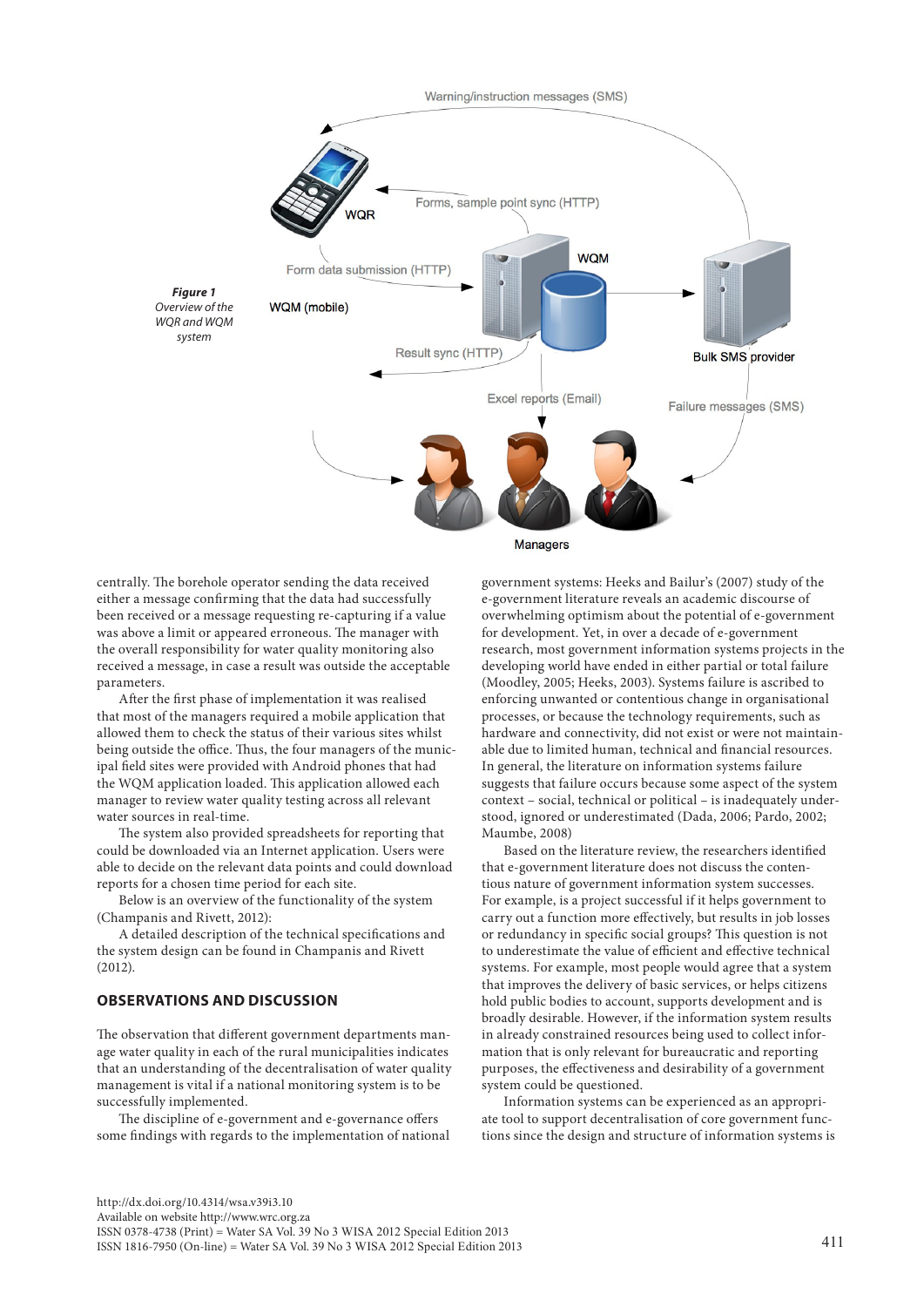



centrally. The borehole operator sending the data received either a message confirming that the data had successfully been received or a message requesting re-capturing if a value was above a limit or appeared erroneous. The manager with the overall responsibility for water quality monitoring also received a message, in case a result was outside the acceptable parameters.

After the first phase of implementation it was realised that most of the managers required a mobile application that allowed them to check the status of their various sites whilst being outside the office. Thus, the four managers of the municipal field sites were provided with Android phones that had the WQM application loaded. This application allowed each manager to review water quality testing across all relevant water sources in real-time.

The system also provided spreadsheets for reporting that could be downloaded via an Internet application. Users were able to decide on the relevant data points and could download reports for a chosen time period for each site.

Below is an overview of the functionality of the system (Champanis and Rivett, 2012):

A detailed description of the technical specifications and the system design can be found in Champanis and Rivett (2012).

## **OBSERVATIONS AND DISCUSSION**

The observation that different government departments manage water quality in each of the rural municipalities indicates that an understanding of the decentralisation of water quality management is vital if a national monitoring system is to be successfully implemented.

The discipline of e-government and e-governance offers some findings with regards to the implementation of national government systems: Heeks and Bailur's (2007) study of the e-government literature reveals an academic discourse of overwhelming optimism about the potential of e-government for development. Yet, in over a decade of e-government research, most government information systems projects in the developing world have ended in either partial or total failure (Moodley, 2005; Heeks, 2003). Systems failure is ascribed to enforcing unwanted or contentious change in organisational processes, or because the technology requirements, such as hardware and connectivity, did not exist or were not maintainable due to limited human, technical and financial resources. In general, the literature on information systems failure suggests that failure occurs because some aspect of the system context – social, technical or political – is inadequately understood, ignored or underestimated (Dada, 2006; Pardo, 2002; Maumbe, 2008)

Based on the literature review, the researchers identified that e-government literature does not discuss the contentious nature of government information system successes. For example, is a project successful if it helps government to carry out a function more effectively, but results in job losses or redundancy in specific social groups? This question is not to underestimate the value of efficient and effective technical systems. For example, most people would agree that a system that improves the delivery of basic services, or helps citizens hold public bodies to account, supports development and is broadly desirable. However, if the information system results in already constrained resources being used to collect information that is only relevant for bureaucratic and reporting purposes, the effectiveness and desirability of a government system could be questioned.

Information systems can be experienced as an appropriate tool to support decentralisation of core government functions since the design and structure of information systems is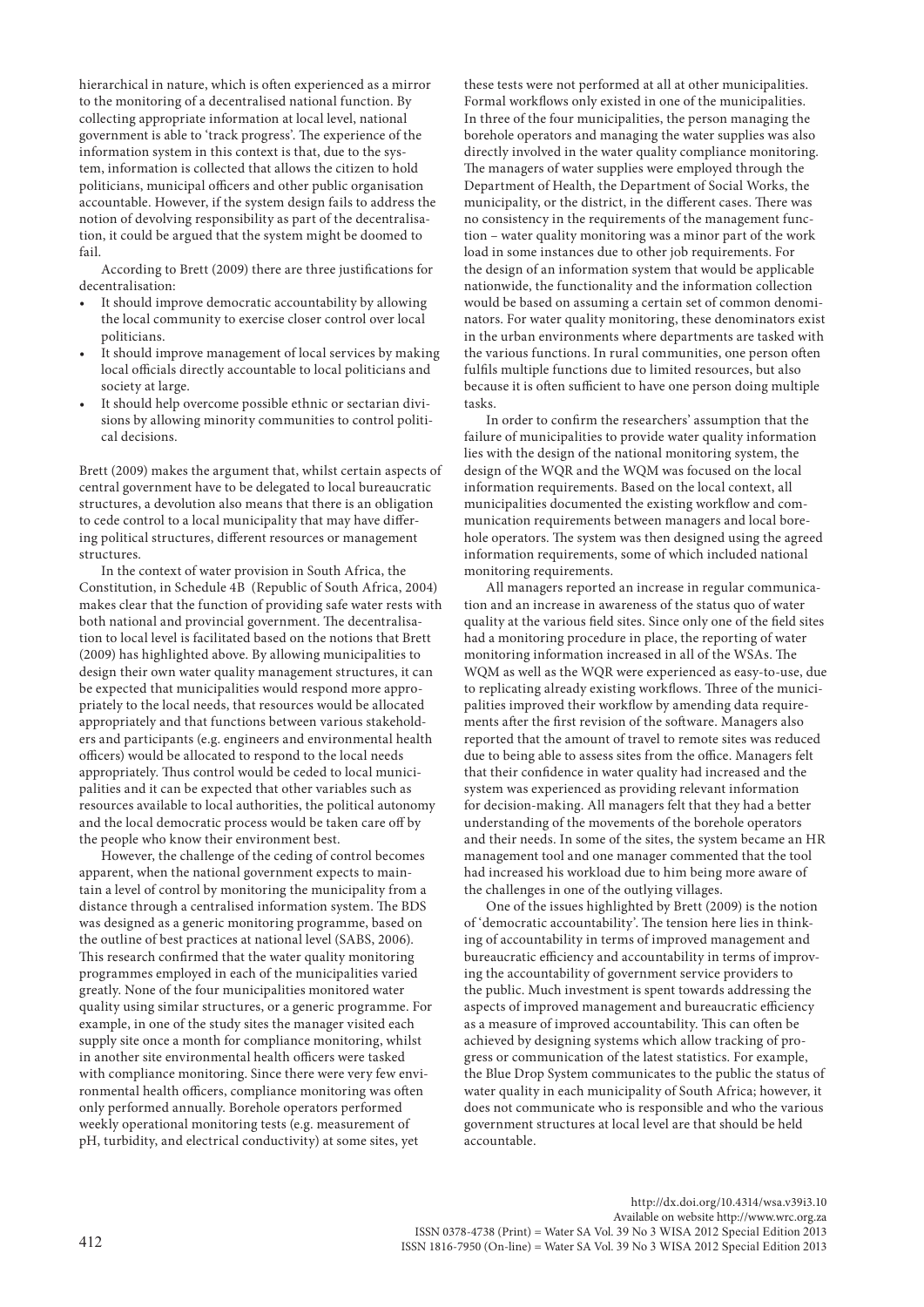hierarchical in nature, which is often experienced as a mirror to the monitoring of a decentralised national function. By collecting appropriate information at local level, national government is able to 'track progress'. The experience of the information system in this context is that, due to the system, information is collected that allows the citizen to hold politicians, municipal officers and other public organisation accountable. However, if the system design fails to address the notion of devolving responsibility as part of the decentralisation, it could be argued that the system might be doomed to fail.

According to Brett (2009) there are three justifications for decentralisation:

- It should improve democratic accountability by allowing the local community to exercise closer control over local politicians.
- It should improve management of local services by making local officials directly accountable to local politicians and society at large.
- It should help overcome possible ethnic or sectarian divisions by allowing minority communities to control political decisions.

Brett (2009) makes the argument that, whilst certain aspects of central government have to be delegated to local bureaucratic structures, a devolution also means that there is an obligation to cede control to a local municipality that may have differing political structures, different resources or management structures.

In the context of water provision in South Africa, the Constitution, in Schedule 4B (Republic of South Africa, 2004) makes clear that the function of providing safe water rests with both national and provincial government. The decentralisation to local level is facilitated based on the notions that Brett (2009) has highlighted above. By allowing municipalities to design their own water quality management structures, it can be expected that municipalities would respond more appropriately to the local needs, that resources would be allocated appropriately and that functions between various stakeholders and participants (e.g. engineers and environmental health officers) would be allocated to respond to the local needs appropriately. Thus control would be ceded to local municipalities and it can be expected that other variables such as resources available to local authorities, the political autonomy and the local democratic process would be taken care off by the people who know their environment best.

However, the challenge of the ceding of control becomes apparent, when the national government expects to maintain a level of control by monitoring the municipality from a distance through a centralised information system. The BDS was designed as a generic monitoring programme, based on the outline of best practices at national level (SABS, 2006). This research confirmed that the water quality monitoring programmes employed in each of the municipalities varied greatly. None of the four municipalities monitored water quality using similar structures, or a generic programme. For example, in one of the study sites the manager visited each supply site once a month for compliance monitoring, whilst in another site environmental health officers were tasked with compliance monitoring. Since there were very few environmental health officers, compliance monitoring was often only performed annually. Borehole operators performed weekly operational monitoring tests (e.g. measurement of pH, turbidity, and electrical conductivity) at some sites, yet

these tests were not performed at all at other municipalities. Formal workflows only existed in one of the municipalities. In three of the four municipalities, the person managing the borehole operators and managing the water supplies was also directly involved in the water quality compliance monitoring. The managers of water supplies were employed through the Department of Health, the Department of Social Works, the municipality, or the district, in the different cases. There was no consistency in the requirements of the management function – water quality monitoring was a minor part of the work load in some instances due to other job requirements. For the design of an information system that would be applicable nationwide, the functionality and the information collection would be based on assuming a certain set of common denominators. For water quality monitoring, these denominators exist in the urban environments where departments are tasked with the various functions. In rural communities, one person often fulfils multiple functions due to limited resources, but also because it is often sufficient to have one person doing multiple tasks.

In order to confirm the researchers' assumption that the failure of municipalities to provide water quality information lies with the design of the national monitoring system, the design of the WQR and the WQM was focused on the local information requirements. Based on the local context, all municipalities documented the existing workflow and communication requirements between managers and local borehole operators. The system was then designed using the agreed information requirements, some of which included national monitoring requirements.

All managers reported an increase in regular communication and an increase in awareness of the status quo of water quality at the various field sites. Since only one of the field sites had a monitoring procedure in place, the reporting of water monitoring information increased in all of the WSAs. The WQM as well as the WQR were experienced as easy-to-use, due to replicating already existing workflows. Three of the municipalities improved their workflow by amending data requirements after the first revision of the software. Managers also reported that the amount of travel to remote sites was reduced due to being able to assess sites from the office. Managers felt that their confidence in water quality had increased and the system was experienced as providing relevant information for decision-making. All managers felt that they had a better understanding of the movements of the borehole operators and their needs. In some of the sites, the system became an HR management tool and one manager commented that the tool had increased his workload due to him being more aware of the challenges in one of the outlying villages.

One of the issues highlighted by Brett (2009) is the notion of 'democratic accountability'. The tension here lies in thinking of accountability in terms of improved management and bureaucratic efficiency and accountability in terms of improving the accountability of government service providers to the public. Much investment is spent towards addressing the aspects of improved management and bureaucratic efficiency as a measure of improved accountability. This can often be achieved by designing systems which allow tracking of progress or communication of the latest statistics. For example, the Blue Drop System communicates to the public the status of water quality in each municipality of South Africa; however, it does not communicate who is responsible and who the various government structures at local level are that should be held accountable.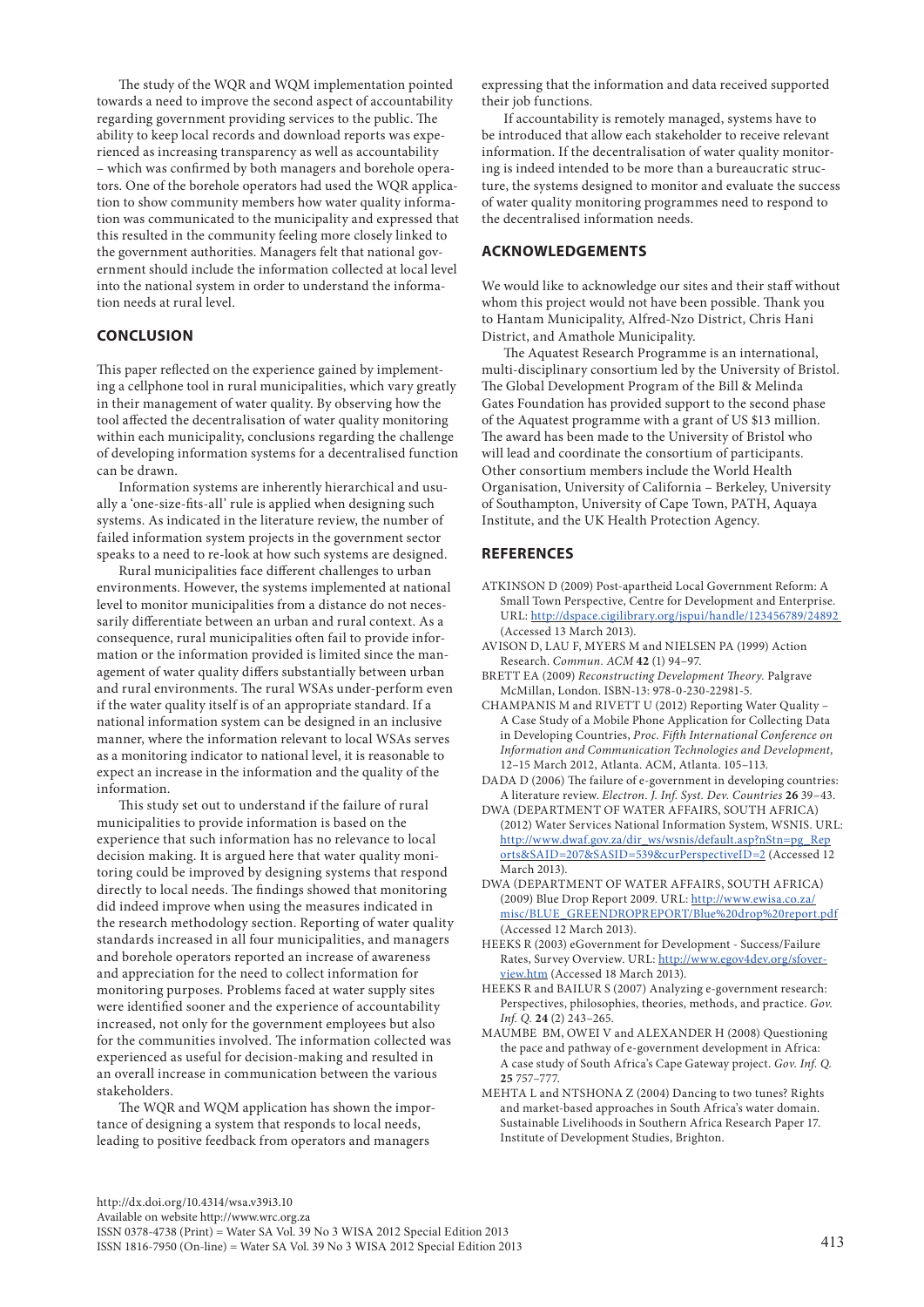The study of the WQR and WQM implementation pointed towards a need to improve the second aspect of accountability regarding government providing services to the public. The ability to keep local records and download reports was experienced as increasing transparency as well as accountability – which was confirmed by both managers and borehole operators. One of the borehole operators had used the WQR application to show community members how water quality information was communicated to the municipality and expressed that this resulted in the community feeling more closely linked to the government authorities. Managers felt that national government should include the information collected at local level into the national system in order to understand the information needs at rural level.

## **CONCLUSION**

This paper reflected on the experience gained by implementing a cellphone tool in rural municipalities, which vary greatly in their management of water quality. By observing how the tool affected the decentralisation of water quality monitoring within each municipality, conclusions regarding the challenge of developing information systems for a decentralised function can be drawn.

Information systems are inherently hierarchical and usually a 'one-size-fits-all' rule is applied when designing such systems. As indicated in the literature review, the number of failed information system projects in the government sector speaks to a need to re-look at how such systems are designed.

Rural municipalities face different challenges to urban environments. However, the systems implemented at national level to monitor municipalities from a distance do not necessarily differentiate between an urban and rural context. As a consequence, rural municipalities often fail to provide information or the information provided is limited since the management of water quality differs substantially between urban and rural environments. The rural WSAs under-perform even if the water quality itself is of an appropriate standard. If a national information system can be designed in an inclusive manner, where the information relevant to local WSAs serves as a monitoring indicator to national level, it is reasonable to expect an increase in the information and the quality of the information.

This study set out to understand if the failure of rural municipalities to provide information is based on the experience that such information has no relevance to local decision making. It is argued here that water quality monitoring could be improved by designing systems that respond directly to local needs. The findings showed that monitoring did indeed improve when using the measures indicated in the research methodology section. Reporting of water quality standards increased in all four municipalities, and managers and borehole operators reported an increase of awareness and appreciation for the need to collect information for monitoring purposes. Problems faced at water supply sites were identified sooner and the experience of accountability increased, not only for the government employees but also for the communities involved. The information collected was experienced as useful for decision-making and resulted in an overall increase in communication between the various stakeholders.

The WQR and WQM application has shown the importance of designing a system that responds to local needs, leading to positive feedback from operators and managers

expressing that the information and data received supported their job functions.

If accountability is remotely managed, systems have to be introduced that allow each stakeholder to receive relevant information. If the decentralisation of water quality monitoring is indeed intended to be more than a bureaucratic structure, the systems designed to monitor and evaluate the success of water quality monitoring programmes need to respond to the decentralised information needs.

#### **ACKNOWLEDGEMENTS**

We would like to acknowledge our sites and their staff without whom this project would not have been possible. Thank you to Hantam Municipality, Alfred-Nzo District, Chris Hani District, and Amathole Municipality.

The Aquatest Research Programme is an international, multi-disciplinary consortium led by the University of Bristol. The Global Development Program of the Bill & Melinda Gates Foundation has provided support to the second phase of the Aquatest programme with a grant of US \$13 million. The award has been made to the University of Bristol who will lead and coordinate the consortium of participants. Other consortium members include the World Health Organisation, University of California – Berkeley, University of Southampton, University of Cape Town, PATH, Aquaya Institute, and the UK Health Protection Agency.

#### **REFERENCES**

- ATKINSON D (2009) Post-apartheid Local Government Reform: A Small Town Perspective, Centre for Development and Enterprise. URL:<http://dspace.cigilibrary.org/jspui/handle/123456789/24892> (Accessed 13 March 2013).
- AVISON D, LAU F, MYERS M and NIELSEN PA (1999) Action Research. *Commun. ACM* **42** (1) 94–97.
- BRETT EA (2009) *Reconstructing Development Theory.* Palgrave McMillan, London. ISBN-13: 978-0-230-22981-5.
- CHAMPANIS M and RIVETT U (2012) Reporting Water Quality A Case Study of a Mobile Phone Application for Collecting Data in Developing Countries, *Proc. Fifth International Conference on Information and Communication Technologies and Development,*  12–15 March 2012, Atlanta. ACM, Atlanta. 105–113.
- DADA D (2006) The failure of e-government in developing countries: A literature review. *Electron. J. Inf. Syst. Dev. Countries* **26** 39–43.
- DWA (DEPARTMENT OF WATER AFFAIRS, SOUTH AFRICA) (2012) Water Services National Information System, WSNIS. URL: [http://www.dwaf.gov.za/dir\\_ws/wsnis/default.asp?nStn=pg\\_Rep](http://www.dwaf.gov.za/dir_ws/wsnis/default.asp?nStn=pg_Reports&SAID=207&SASID=539&curPerspectiveID=2) [orts&SAID=207&SASID=539&curPerspectiveID=2](http://www.dwaf.gov.za/dir_ws/wsnis/default.asp?nStn=pg_Reports&SAID=207&SASID=539&curPerspectiveID=2) (Accessed 12 March 2013).
- DWA (DEPARTMENT OF WATER AFFAIRS, SOUTH AFRICA) (2009) Blue Drop Report 2009. URL: [http://www.ewisa.co.za/](http://www.ewisa.co.za/misc/BLUE_GREENDROPREPORT/Blue%20drop%20report.pdf) [misc/BLUE\\_GREENDROPREPORT/Blue%20drop%20report.pdf](http://www.ewisa.co.za/misc/BLUE_GREENDROPREPORT/Blue%20drop%20report.pdf) (Accessed 12 March 2013).
- HEEKS R (2003) eGovernment for Development Success/Failure Rates, Survey Overview. URL: [http://www.egov4dev.org/sfover](http://www.egov4dev.org/sfoverview.htm)[view.htm](http://www.egov4dev.org/sfoverview.htm) (Accessed 18 March 2013).
- HEEKS R and BAILUR S (2007) Analyzing e-government research: Perspectives, philosophies, theories, methods, and practice. *Gov. Inf. Q.* **24** (2) 243–265.
- MAUMBE BM, OWEI V and ALEXANDER H (2008) Questioning the pace and pathway of e-government development in Africa: A case study of South Africa's Cape Gateway project. *Gov. Inf. Q.*  **25** 757–777.
- MEHTA L and NTSHONA Z (2004) Dancing to two tunes? Rights and market-based approaches in South Africa's water domain. Sustainable Livelihoods in Southern Africa Research Paper 17. Institute of Development Studies, Brighton.